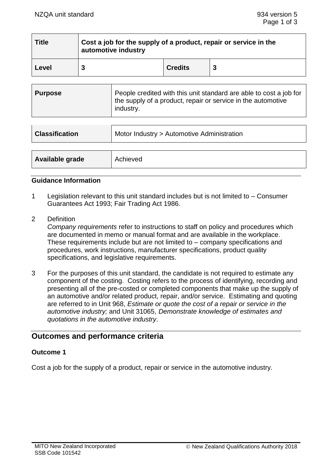| <b>Title</b> | Cost a job for the supply of a product, repair or service in the<br>automotive industry |                |   |
|--------------|-----------------------------------------------------------------------------------------|----------------|---|
| Level        |                                                                                         | <b>Credits</b> | 3 |

| Purpose | People credited with this unit standard are able to cost a job for<br>the supply of a product, repair or service in the automotive<br>industry. |
|---------|-------------------------------------------------------------------------------------------------------------------------------------------------|
|---------|-------------------------------------------------------------------------------------------------------------------------------------------------|

| <b>Classification</b> | Motor Industry > Automotive Administration |  |
|-----------------------|--------------------------------------------|--|
|                       |                                            |  |
| Available grade       | Achieved                                   |  |

### **Guidance Information**

- 1 Legislation relevant to this unit standard includes but is not limited to Consumer Guarantees Act 1993; Fair Trading Act 1986.
- 2 Definition

*Company requirements* refer to instructions to staff on policy and procedures which are documented in memo or manual format and are available in the workplace. These requirements include but are not limited to – company specifications and procedures, work instructions, manufacturer specifications, product quality specifications, and legislative requirements.

3 For the purposes of this unit standard, the candidate is not required to estimate any component of the costing. Costing refers to the process of identifying, recording and presenting all of the pre-costed or completed components that make up the supply of an automotive and/or related product, repair, and/or service. Estimating and quoting are referred to in Unit 968, *Estimate or quote the cost of a repair or service in the automotive industry;* and Unit 31065, *Demonstrate knowledge of estimates and quotations in the automotive industry*.

# **Outcomes and performance criteria**

### **Outcome 1**

Cost a job for the supply of a product, repair or service in the automotive industry.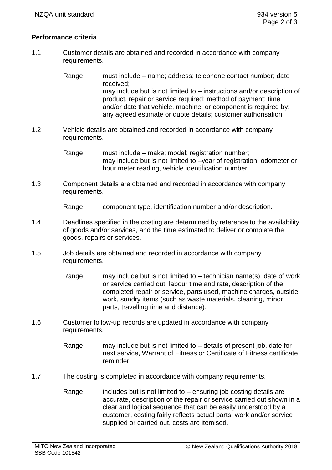### **Performance criteria**

1.1 Customer details are obtained and recorded in accordance with company requirements.

> Range must include – name; address; telephone contact number; date received; may include but is not limited to – instructions and/or description of product, repair or service required; method of payment; time and/or date that vehicle, machine, or component is required by; any agreed estimate or quote details; customer authorisation.

1.2 Vehicle details are obtained and recorded in accordance with company requirements.

> Range must include – make; model; registration number; may include but is not limited to –year of registration, odometer or hour meter reading, vehicle identification number.

1.3 Component details are obtained and recorded in accordance with company requirements.

Range component type, identification number and/or description.

- 1.4 Deadlines specified in the costing are determined by reference to the availability of goods and/or services, and the time estimated to deliver or complete the goods, repairs or services.
- 1.5 Job details are obtained and recorded in accordance with company requirements.
	- Range may include but is not limited to  $-$  technician name(s), date of work or service carried out, labour time and rate, description of the completed repair or service, parts used, machine charges, outside work, sundry items (such as waste materials, cleaning, minor parts, travelling time and distance).
- 1.6 Customer follow-up records are updated in accordance with company requirements.
	- Range may include but is not limited to details of present job, date for next service, Warrant of Fitness or Certificate of Fitness certificate reminder.
- 1.7 The costing is completed in accordance with company requirements.
	- Range includes but is not limited to  $-$  ensuring job costing details are accurate, description of the repair or service carried out shown in a clear and logical sequence that can be easily understood by a customer, costing fairly reflects actual parts, work and/or service supplied or carried out, costs are itemised.